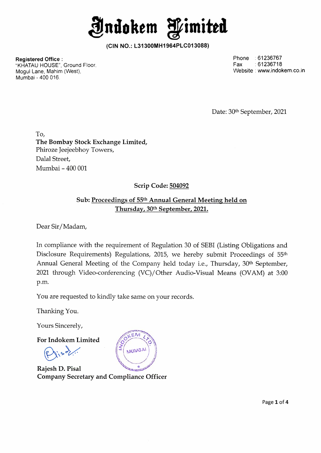**Jndokem fimittd** 

**(CIN NO.: L31300MH1964PLC013088)** 

**Registered Office:**  "KHATAU HOUSE", Ground Floor, Mogul Lane, Mahim (West), Mumbai - 400 016.

Phone :61236767 Fax :61236718 Website : www.indokem.co.in

Date: 30<sup>th</sup> September, 2021

**To, The Bombay Stock Exchange Limited,**  Phiroze Jeejeebhoy Towers, Dalal Street, Mumbai - 400 001

### **Scrip Code: 504092**

### **Sub: Proceedings of 55th Annual General Meeting held on Thursday, 30th September, 2021.**

Dear Sir/ Madam,

In compliance with the requirement of Regulation 30 of SEBI (Listing Obligations and Disclosure Requirements) Regulations, 2015, we hereby submit Proceedings of 55<sup>th</sup> Annual General Meeting of the Company held today i.e., Thursday, 30<sup>th</sup> September, 2021 through Video-conferencing (VC)/Other Audio-Visual Means (OVAM) at 3:00 p.m.

You are requested to kindly take same on your records.

Thanking You.

Yours Sincerely,

**For lndokem Limited** 

**Rajesh D. Pisal Company Secretary and Compliance Officer** 

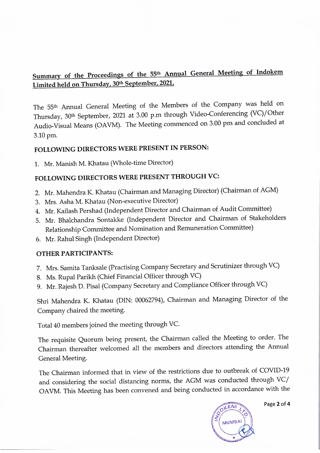## **Summary of the Proceedings of the 55 th Annual General Meeting of Indokem Limited held on Thursday, 30 th September, 2021.**

The 55<sup>th</sup> Annual General Meeting of the Members of the Company was held on Thursday, 30th September, 2021 at 3.00 p.m through Video-Conferencing (VC)/Other Audio-Visual Means (OAVM). The Meeting commenced on 3.00 pm and concluded at 3.10pm.

# **FOLLOWING DIRECTORS WERE PRESENT IN PERSON:**

1. Mr. Manish M. Khatau (Whole-time Director)

## **FOLLOWING DIRECTORS WERE PRESENT THROUGH VC:**

- 2. Mr. Mahendra K. Khatau (Chairman and Managing Director) (Chairman of AGM)
- 3. Mrs. Asha M. Khatau (Non-executive Director)
- 4. Mr. Kailash Pershad (Independent Director and Chairman of Audit Committee)
- 5. Mr. Bhalchandra Sontakke (Independent Director and Chairman of Stakeholders Relationship Committee and Nomination and Remuneration Committee)
- 6. Mr. Rahul Singh (Independent Director)

### **OTHER PARTICIPANTS:**

- 7. Mrs. Samita Tanksale (Practising Company Secretary and Scrutinizer through VC)
- 8. Ms. Rupal Parikh (Chief Financial Officer through VC)
- 9. Mr. Rajesh D. Pisal (Company Secretary and Compliance Officer through VC)

Shri Mahendra K. Khatau (DIN: 00062794), Chairman and Managing Director of the Company chaired the meeting.

Total 40 members joined the meeting through VC.

The requisite Quorum being present, the Chairman called the Meeting to order. The Chairman thereafter welcomed all the members and directors attending the Annual General Meeting.

The Chairman informed that in view of the restrictions due to outbreak of COVID-19 and considering the social distancing norms, the AGM was conducted through VC/ OA VM. This Meeting has been convened and being conducted in accordance with the



Page **2 of 4**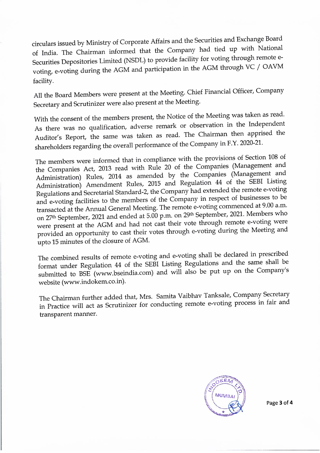circulars issued by Ministry of Corporate Affairs and the Securities and Exchange Board of India. The Chairman informed that the Company had tied up with National Securities Depositories Limited (NSDL) to provide facility for voting through remote evoting, e-voting during the AGM and participation in the AGM through VC / OAVM facility.

All the Board Members were present at the Meeting. Chief Financial Officer, Company Secretary and Scrutinizer were also present at the Meeting.

With the consent of the members present, the Notice of the Meeting was taken as read. As there was no qualification, adverse remark or observation in the Independent Auditor's Report, the same was taken as read. The Chairman then apprised the shareholders regarding the overall performance of the Company in F.Y. 2020-21.

The members were informed that in compliance with the provisions of Section 108 of the Companies Act, 2013 read with Rule 20 of the Companies (Management and Administration) Rules, 2014 as amended by the Companies (Management and Administration) Amendment Rules, 2015 and Regulation 44 of the SEBI Listing Regulations and Secretarial Standard-2, the Company had extended the remote e-voting and e-voting facilities to the members of the Company in respect of businesses to be transacted at the Annual General Meeting. The remote e-voting commenced at 9.00 a.m. on 27<sup>th</sup> September, 2021 and ended at 5.00 p.m. on 29<sup>th</sup> September, 2021. Members who were present at the AGM and had not cast their vote through remote e-voting were provided an opportunity to cast their votes through e-voting during the Meeting and upto 15 minutes of the closure of AGM.

The combined results of remote e-voting and e-voting shall be declared in prescribed format under Regulation 44 of the SEBI Listing Regulations and the same shall be submitted to BSE (www.bseindia.com) and will also be put up on the Company's website (www.indokem.co.in).

The Chairman further added that, Mrs. Samita Vaibhav Tanksale, Company Secretary in Practice will act as Scrutinizer for conducting remote e-voting process in fair and transparent manner.



Page **3** of **4**